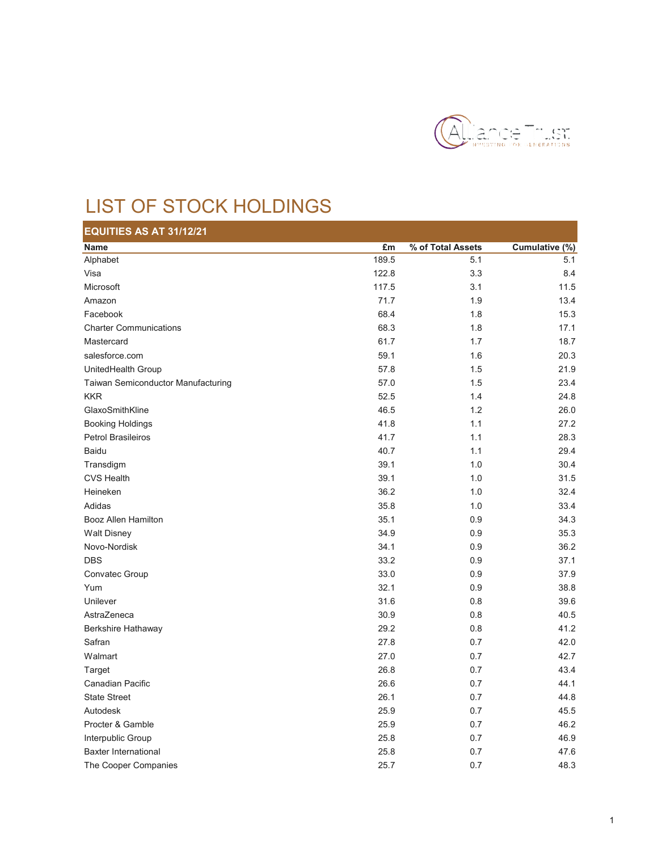

## LIST OF STOCK HOLDINGS

| EQUITIES AS AT 31/12/21            |       |                   |                |
|------------------------------------|-------|-------------------|----------------|
| Name                               | £m    | % of Total Assets | Cumulative (%) |
| Alphabet                           | 189.5 | 5.1               | 5.1            |
| Visa                               | 122.8 | 3.3               | 8.4            |
| Microsoft                          | 117.5 | 3.1               | 11.5           |
| Amazon                             | 71.7  | 1.9               | 13.4           |
| Facebook                           | 68.4  | 1.8               | 15.3           |
| <b>Charter Communications</b>      | 68.3  | 1.8               | 17.1           |
| Mastercard                         | 61.7  | 1.7               | 18.7           |
| salesforce.com                     | 59.1  | 1.6               | 20.3           |
| UnitedHealth Group                 | 57.8  | 1.5               | 21.9           |
| Taiwan Semiconductor Manufacturing | 57.0  | 1.5               | 23.4           |
| <b>KKR</b>                         | 52.5  | 1.4               | 24.8           |
| GlaxoSmithKline                    | 46.5  | 1.2               | 26.0           |
| <b>Booking Holdings</b>            | 41.8  | 1.1               | 27.2           |
| <b>Petrol Brasileiros</b>          | 41.7  | 1.1               | 28.3           |
| <b>Baidu</b>                       | 40.7  | 1.1               | 29.4           |
| Transdigm                          | 39.1  | 1.0               | 30.4           |
| <b>CVS Health</b>                  | 39.1  | 1.0               | 31.5           |
| Heineken                           | 36.2  | 1.0               | 32.4           |
| Adidas                             | 35.8  | 1.0               | 33.4           |
| <b>Booz Allen Hamilton</b>         | 35.1  | 0.9               | 34.3           |
| <b>Walt Disney</b>                 | 34.9  | 0.9               | 35.3           |
| Novo-Nordisk                       | 34.1  | 0.9               | 36.2           |
| <b>DBS</b>                         | 33.2  | 0.9               | 37.1           |
| Convatec Group                     | 33.0  | 0.9               | 37.9           |
| Yum                                | 32.1  | 0.9               | 38.8           |
| Unilever                           | 31.6  | 0.8               | 39.6           |
| AstraZeneca                        | 30.9  | 0.8               | 40.5           |
| Berkshire Hathaway                 | 29.2  | 0.8               | 41.2           |
| Safran                             | 27.8  | 0.7               | 42.0           |
| Walmart                            | 27.0  | 0.7               | 42.7           |
| Target                             | 26.8  | 0.7               | 43.4           |
| Canadian Pacific                   | 26.6  | 0.7               | 44.1           |
| <b>State Street</b>                | 26.1  | 0.7               | 44.8           |
| Autodesk                           | 25.9  | 0.7               | 45.5           |
| Procter & Gamble                   | 25.9  | 0.7               | 46.2           |
| Interpublic Group                  | 25.8  | 0.7               | 46.9           |
| <b>Baxter International</b>        | 25.8  | 0.7               | 47.6           |
| The Cooper Companies               | 25.7  | 0.7               | 48.3           |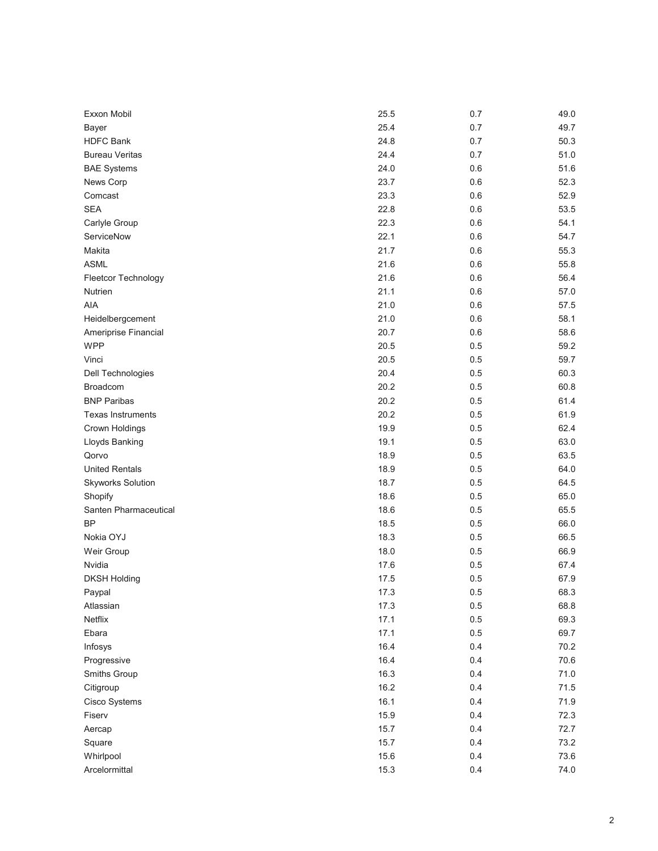| Exxon Mobil              | 25.5 | 0.7 | 49.0 |
|--------------------------|------|-----|------|
| <b>Bayer</b>             | 25.4 | 0.7 | 49.7 |
| <b>HDFC Bank</b>         | 24.8 | 0.7 | 50.3 |
| <b>Bureau Veritas</b>    | 24.4 | 0.7 | 51.0 |
| <b>BAE Systems</b>       | 24.0 | 0.6 | 51.6 |
| News Corp                | 23.7 | 0.6 | 52.3 |
| Comcast                  | 23.3 | 0.6 | 52.9 |
| <b>SEA</b>               | 22.8 | 0.6 | 53.5 |
| Carlyle Group            | 22.3 | 0.6 | 54.1 |
| ServiceNow               | 22.1 | 0.6 | 54.7 |
| Makita                   | 21.7 | 0.6 | 55.3 |
| <b>ASML</b>              | 21.6 | 0.6 | 55.8 |
| Fleetcor Technology      | 21.6 | 0.6 | 56.4 |
| Nutrien                  | 21.1 | 0.6 | 57.0 |
| AIA                      | 21.0 | 0.6 | 57.5 |
| Heidelbergcement         | 21.0 | 0.6 | 58.1 |
| Ameriprise Financial     | 20.7 | 0.6 | 58.6 |
| <b>WPP</b>               | 20.5 | 0.5 | 59.2 |
| Vinci                    | 20.5 | 0.5 | 59.7 |
| Dell Technologies        | 20.4 | 0.5 | 60.3 |
| Broadcom                 | 20.2 | 0.5 | 60.8 |
| <b>BNP Paribas</b>       | 20.2 | 0.5 | 61.4 |
| <b>Texas Instruments</b> | 20.2 | 0.5 | 61.9 |
| Crown Holdings           | 19.9 | 0.5 | 62.4 |
| Lloyds Banking           | 19.1 | 0.5 | 63.0 |
| Qorvo                    | 18.9 | 0.5 | 63.5 |
| <b>United Rentals</b>    | 18.9 | 0.5 | 64.0 |
| <b>Skyworks Solution</b> | 18.7 | 0.5 | 64.5 |
| Shopify                  | 18.6 | 0.5 | 65.0 |
| Santen Pharmaceutical    | 18.6 | 0.5 | 65.5 |
| <b>BP</b>                | 18.5 | 0.5 | 66.0 |
| Nokia OYJ                | 18.3 | 0.5 | 66.5 |
| Weir Group               | 18.0 | 0.5 | 66.9 |
| Nvidia                   | 17.6 | 0.5 | 67.4 |
| <b>DKSH Holding</b>      | 17.5 | 0.5 | 67.9 |
| Paypal                   | 17.3 | 0.5 | 68.3 |
| Atlassian                | 17.3 | 0.5 | 68.8 |
| Netflix                  | 17.1 | 0.5 | 69.3 |
| Ebara                    | 17.1 | 0.5 | 69.7 |
| Infosys                  | 16.4 | 0.4 | 70.2 |
| Progressive              | 16.4 | 0.4 | 70.6 |
| Smiths Group             | 16.3 | 0.4 | 71.0 |
| Citigroup                | 16.2 | 0.4 | 71.5 |
| Cisco Systems            | 16.1 | 0.4 | 71.9 |
| Fiserv                   | 15.9 | 0.4 | 72.3 |
| Aercap                   | 15.7 | 0.4 | 72.7 |
| Square                   | 15.7 | 0.4 | 73.2 |
| Whirlpool                | 15.6 | 0.4 | 73.6 |
| Arcelormittal            | 15.3 | 0.4 | 74.0 |
|                          |      |     |      |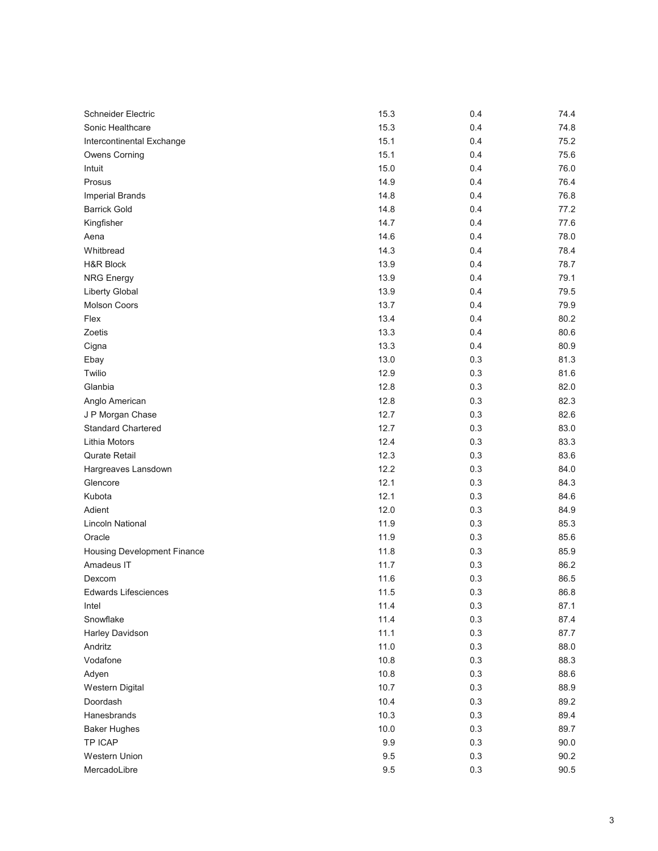| Schneider Electric          | 15.3    | 0.4 | 74.4 |
|-----------------------------|---------|-----|------|
| Sonic Healthcare            | 15.3    | 0.4 | 74.8 |
| Intercontinental Exchange   | 15.1    | 0.4 | 75.2 |
| <b>Owens Corning</b>        | 15.1    | 0.4 | 75.6 |
| Intuit                      | 15.0    | 0.4 | 76.0 |
| Prosus                      | 14.9    | 0.4 | 76.4 |
| <b>Imperial Brands</b>      | 14.8    | 0.4 | 76.8 |
| <b>Barrick Gold</b>         | 14.8    | 0.4 | 77.2 |
| Kingfisher                  | 14.7    | 0.4 | 77.6 |
| Aena                        | 14.6    | 0.4 | 78.0 |
| Whitbread                   | 14.3    | 0.4 | 78.4 |
| <b>H&amp;R Block</b>        | 13.9    | 0.4 | 78.7 |
| <b>NRG Energy</b>           | 13.9    | 0.4 | 79.1 |
| <b>Liberty Global</b>       | 13.9    | 0.4 | 79.5 |
| <b>Molson Coors</b>         | 13.7    | 0.4 | 79.9 |
| Flex                        | 13.4    | 0.4 | 80.2 |
| Zoetis                      | 13.3    | 0.4 | 80.6 |
| Cigna                       | 13.3    | 0.4 | 80.9 |
| Ebay                        | 13.0    | 0.3 | 81.3 |
| Twilio                      | 12.9    | 0.3 | 81.6 |
| Glanbia                     | 12.8    | 0.3 | 82.0 |
| Anglo American              | 12.8    | 0.3 | 82.3 |
| J P Morgan Chase            | 12.7    | 0.3 | 82.6 |
| <b>Standard Chartered</b>   | 12.7    | 0.3 | 83.0 |
| Lithia Motors               | 12.4    | 0.3 | 83.3 |
| Qurate Retail               | 12.3    | 0.3 | 83.6 |
| Hargreaves Lansdown         | 12.2    | 0.3 | 84.0 |
| Glencore                    | 12.1    | 0.3 | 84.3 |
| Kubota                      | 12.1    | 0.3 | 84.6 |
| Adient                      | 12.0    | 0.3 | 84.9 |
| <b>Lincoln National</b>     | 11.9    | 0.3 | 85.3 |
| Oracle                      | 11.9    | 0.3 | 85.6 |
| Housing Development Finance | 11.8    | 0.3 | 85.9 |
| Amadeus IT                  | 11.7    | 0.3 | 86.2 |
| Dexcom                      | 11.6    | 0.3 | 86.5 |
| Edwards Lifesciences        | 11.5    | 0.3 | 86.8 |
| Intel                       | 11.4    | 0.3 | 87.1 |
| Snowflake                   | 11.4    | 0.3 | 87.4 |
| Harley Davidson             | 11.1    | 0.3 | 87.7 |
| Andritz                     | 11.0    | 0.3 | 88.0 |
| Vodafone                    | 10.8    | 0.3 | 88.3 |
| Adyen                       | 10.8    | 0.3 | 88.6 |
| <b>Western Digital</b>      | 10.7    | 0.3 | 88.9 |
| Doordash                    | 10.4    | 0.3 | 89.2 |
| Hanesbrands                 | 10.3    | 0.3 | 89.4 |
| <b>Baker Hughes</b>         | 10.0    | 0.3 | 89.7 |
| TP ICAP                     | $9.9\,$ | 0.3 | 90.0 |
| Western Union               | $9.5\,$ | 0.3 | 90.2 |
| MercadoLibre                | 9.5     | 0.3 | 90.5 |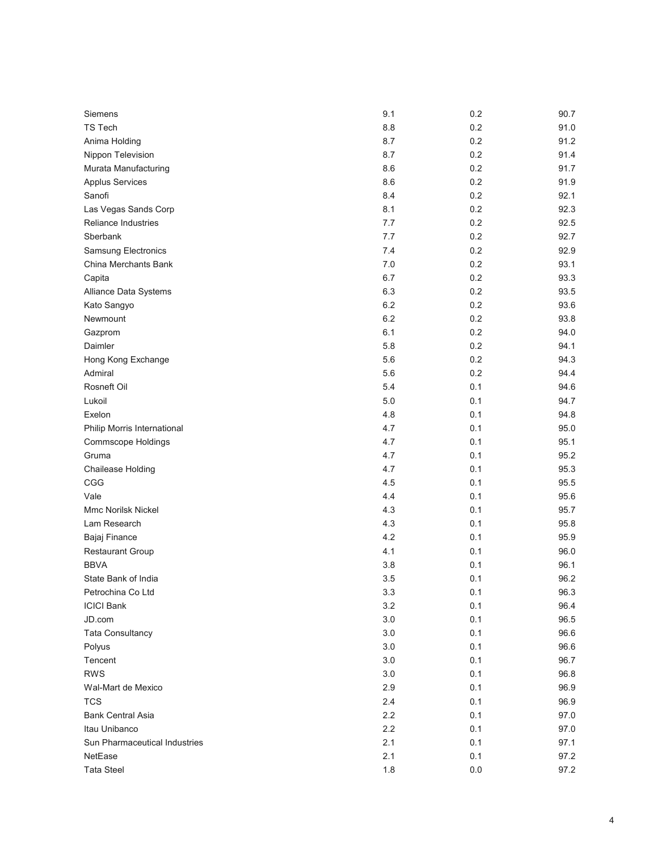| Siemens                       | 9.1 | 0.2     | 90.7 |
|-------------------------------|-----|---------|------|
| <b>TS Tech</b>                | 8.8 | 0.2     | 91.0 |
| Anima Holding                 | 8.7 | 0.2     | 91.2 |
| Nippon Television             | 8.7 | 0.2     | 91.4 |
| Murata Manufacturing          | 8.6 | 0.2     | 91.7 |
| <b>Applus Services</b>        | 8.6 | 0.2     | 91.9 |
| Sanofi                        | 8.4 | 0.2     | 92.1 |
| Las Vegas Sands Corp          | 8.1 | 0.2     | 92.3 |
| Reliance Industries           | 7.7 | 0.2     | 92.5 |
| Sberbank                      | 7.7 | 0.2     | 92.7 |
| <b>Samsung Electronics</b>    | 7.4 | 0.2     | 92.9 |
| China Merchants Bank          | 7.0 | 0.2     | 93.1 |
| Capita                        | 6.7 | 0.2     | 93.3 |
| Alliance Data Systems         | 6.3 | 0.2     | 93.5 |
| Kato Sangyo                   | 6.2 | 0.2     | 93.6 |
| Newmount                      | 6.2 | 0.2     | 93.8 |
| Gazprom                       | 6.1 | 0.2     | 94.0 |
| Daimler                       | 5.8 | 0.2     | 94.1 |
| Hong Kong Exchange            | 5.6 | 0.2     | 94.3 |
| Admiral                       | 5.6 | 0.2     | 94.4 |
| Rosneft Oil                   | 5.4 | 0.1     | 94.6 |
| Lukoil                        | 5.0 | 0.1     | 94.7 |
| Exelon                        | 4.8 | 0.1     | 94.8 |
| Philip Morris International   | 4.7 | 0.1     | 95.0 |
| Commscope Holdings            | 4.7 | 0.1     | 95.1 |
| Gruma                         | 4.7 | 0.1     | 95.2 |
| Chailease Holding             | 4.7 | 0.1     | 95.3 |
| CGG                           | 4.5 | 0.1     | 95.5 |
| Vale                          | 4.4 | 0.1     | 95.6 |
| <b>Mmc Norilsk Nickel</b>     | 4.3 | 0.1     | 95.7 |
| Lam Research                  | 4.3 | 0.1     | 95.8 |
| Bajaj Finance                 | 4.2 | 0.1     | 95.9 |
| Restaurant Group              | 4.1 | 0.1     | 96.0 |
| <b>BBVA</b>                   | 3.8 | 0.1     | 96.1 |
| State Bank of India           | 3.5 | 0.1     | 96.2 |
| Petrochina Co Ltd             | 3.3 | 0.1     | 96.3 |
| <b>ICICI Bank</b>             | 3.2 | 0.1     | 96.4 |
| JD.com                        | 3.0 | 0.1     | 96.5 |
| <b>Tata Consultancy</b>       | 3.0 | 0.1     | 96.6 |
| Polyus                        | 3.0 | 0.1     | 96.6 |
| Tencent                       | 3.0 | 0.1     | 96.7 |
| <b>RWS</b>                    | 3.0 | 0.1     | 96.8 |
| Wal-Mart de Mexico            | 2.9 | 0.1     | 96.9 |
| <b>TCS</b>                    | 2.4 | 0.1     | 96.9 |
| <b>Bank Central Asia</b>      | 2.2 | 0.1     | 97.0 |
| Itau Unibanco                 | 2.2 | 0.1     | 97.0 |
| Sun Pharmaceutical Industries | 2.1 | 0.1     | 97.1 |
| NetEase                       | 2.1 | 0.1     | 97.2 |
| <b>Tata Steel</b>             | 1.8 | $0.0\,$ | 97.2 |